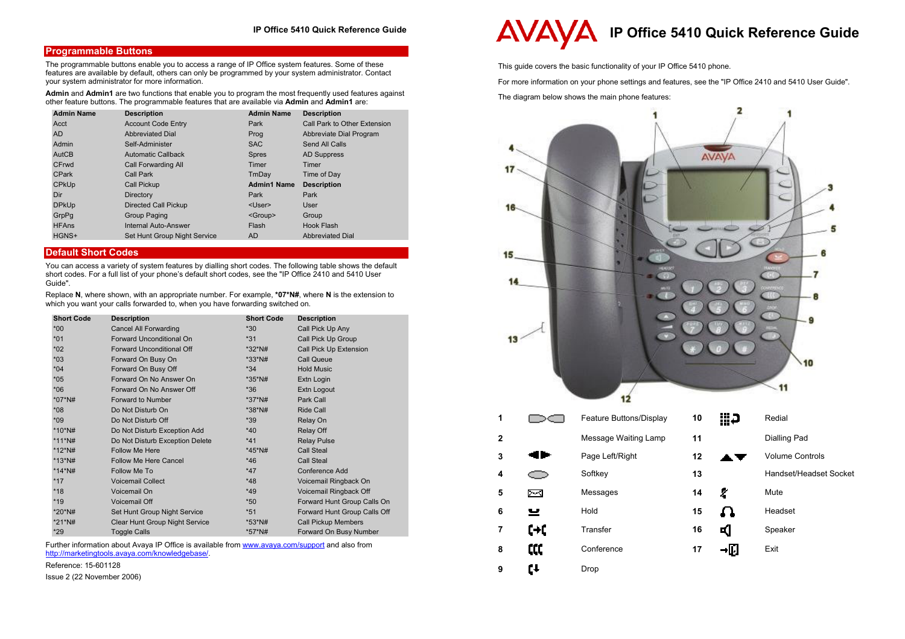# **Programmable Buttons**

The programmable buttons enable you to access a range of IP Office system features. Some of these features are available by default, others can only be programmed by your system administrator. Contact your system administrator for more information.

**Admin** and **Admin1** are two functions that enable you to program the most frequently used features against other feature buttons. The programmable features that are available via **Admin** and **Admin1** are:

| <b>Admin Name</b> | <b>Description</b>           | <b>Admin Name</b>  | <b>Description</b>           |
|-------------------|------------------------------|--------------------|------------------------------|
| Acct              | <b>Account Code Entry</b>    | Park               | Call Park to Other Extension |
| <b>AD</b>         | <b>Abbreviated Dial</b>      | Prog               | Abbreviate Dial Program      |
| Admin             | Self-Administer              | <b>SAC</b>         | Send All Calls               |
| AutCB             | <b>Automatic Callback</b>    | <b>Spres</b>       | <b>AD Suppress</b>           |
| CFrwd             | Call Forwarding All          | Timer              | Timer                        |
| <b>CPark</b>      | Call Park                    | TmDay              | Time of Day                  |
| <b>CPKUp</b>      | Call Pickup                  | <b>Admin1 Name</b> | <b>Description</b>           |
| Dir               | Directory                    | Park               | Park                         |
| <b>DPkUp</b>      | Directed Call Pickup         | <user></user>      | User                         |
| GrpPq             | Group Paging                 | <group></group>    | Group                        |
| <b>HFAns</b>      | Internal Auto-Answer         | Flash              | Hook Flash                   |
| HGNS+             | Set Hunt Group Night Service | AD                 | <b>Abbreviated Dial</b>      |

# **Default Short Codes**

You can access a variety of system features by dialling short codes. The following table shows the default short codes. For a full list of your phone's default short codes, see the "IP Office 2410 and 5410 User Guide".

Replace **N**, where shown, with an appropriate number. For example, **\*07\*N#**, where **N** is the extension to which you want your calls forwarded to, when you have forwarding switched on.

| <b>Short Code</b> | <b>Description</b>              | <b>Short Code</b> | <b>Description</b>           |
|-------------------|---------------------------------|-------------------|------------------------------|
| $*00*$            | <b>Cancel All Forwarding</b>    | $*30$             | Call Pick Up Any             |
| $*01$             | Forward Unconditional On        | $*31$             | Call Pick Up Group           |
| $*02$             | Forward Unconditional Off       | $*32*$ N#         | Call Pick Up Extension       |
| $*03$             | Forward On Busy On              | $*33*$ N#         | Call Queue                   |
| $*04$             | Forward On Busy Off             | $*34$             | <b>Hold Music</b>            |
| $*05$             | Forward On No Answer On         | $*35*$ N#         | Extn Login                   |
| $*06$             | Forward On No Answer Off        | $*36$             | Extn Logout                  |
| *07*N#            | <b>Forward to Number</b>        | *37*N#            | Park Call                    |
| $*08$             | Do Not Disturb On               | $*38*$ N#         | Ride Call                    |
| $*09$             | Do Not Disturb Off              | $*39$             | Relay On                     |
| *10*N#            | Do Not Disturb Exception Add    | $*40$             | Relay Off                    |
| *11*N#            | Do Not Disturb Exception Delete | $*41$             | <b>Relay Pulse</b>           |
| *12*N#            | Follow Me Here                  | *45*N#            | Call Steal                   |
| $*13*$ N#         | Follow Me Here Cancel           | $*46$             | Call Steal                   |
| *14*N#            | Follow Me To                    | $*47$             | <b>Conference Add</b>        |
| $*17$             | <b>Voicemail Collect</b>        | $*48$             | Voicemail Ringback On        |
| $*18$             | Voicemail On                    | $*49$             | Voicemail Ringback Off       |
| $*19$             | Voicemail Off                   | $*50$             | Forward Hunt Group Calls On  |
| *20*N#            | Set Hunt Group Night Service    | $*51$             | Forward Hunt Group Calls Off |
| *21*N#            | Clear Hunt Group Night Service  | *53*N#            | <b>Call Pickup Members</b>   |
| $*29$             | <b>Toggle Calls</b>             | *57*N#            | Forward On Busy Number       |

Further information about Avaya IP Office is available from www.avaya.com/support and also from http://marketingtools.avaya.com/knowledgebase/.

Reference: 15-601128

Issue 2 (22 November 2006)

# **IP Office 5410 Quick Reference Guide**

This guide covers the basic functionality of your IP Office 5410 phone.

For more information on your phone settings and features, see the "IP Office 2410 and 5410 User Guide".

The diagram below shows the main phone features: